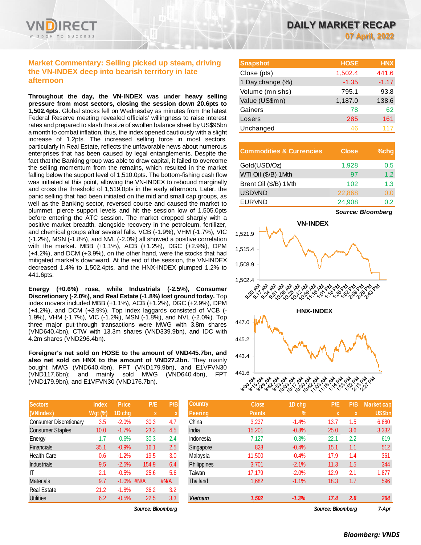

# **Market Commentary: Selling picked up steam, driving the VN-INDEX deep into bearish territory in late afternoon**

**Throughout the day, the VN-INDEX was under heavy selling pressure from most sectors, closing the session down 20.6pts to 1,502.4pts.** Global stocks fell on Wednesday as minutes from the latest Federal Reserve meeting revealed officials' willingness to raise interest rates and prepared to slash the size of swollen balance sheet by US\$95bn a month to combat inflation, thus, the index opened cautiously with a slight increase of 1.2pts. The increased selling force in most sectors, particularly in Real Estate, reflects the unfavorable news about numerous enterprises that has been caused by legal entanglements. Despite the fact that the Banking group was able to draw capital, it failed to overcome the selling momentum from the remains, which resulted in the market falling below the support level of 1,510.0pts. The bottom-fishing cash flow was initiated at this point, allowing the VN-INDEX to rebound marginally and cross the threshold of 1,519.0pts in the early afternoon. Later, the panic selling that had been initiated on the mid and small cap groups, as well as the Banking sector, reversed course and caused the market to plummet, pierce support levels and hit the session low of 1,505.0pts before entering the ATC session. The market dropped sharply with a positive market breadth, alongside recovery in the petroleum, fertilizer, and chemical groups after several falls. VCB (-1.9%), VHM (-1.7%), VIC (-1.2%), MSN (-1.8%), and NVL (-2.0%) all showed a positive correlation with the market. MBB (+1.1%), ACB (+1.2%), DGC (+2.9%), DPM (+4.2%), and DCM (+3.9%), on the other hand, were the stocks that had mitigated market's downward. At the end of the session, the VN-INDEX decreased 1.4% to 1,502.4pts, and the HNX-INDEX plumped 1.2% to 441.6pts.

**Energy (+0.6%) rose, while Industrials (-2.5%), Consumer Discretionary (-2.0%), and Real Estate (-1.8%) lost ground today.** Top index movers included MBB (+1.1%), ACB (+1.2%), DGC (+2.9%), DPM (+4.2%), and DCM (+3.9%). Top index laggards consisted of VCB (- 1.9%), VHM (-1.7%), VIC (-1.2%), MSN (-1.8%), and NVL (-2.0%). Top three major put-through transactions were MWG with 3.8m shares (VND640.4bn), CTW with 13.3m shares (VND339.9bn), and IDC with 4.2m shares (VND296.4bn).

**Foreigner's net sold on HOSE to the amount of VND445.7bn, and**  also net sold on HNX to the amount of VND27.2bn. They mainly bought MWG (VND640.4bn), FPT (VND179.9bn), and E1VFVN30 (VND117.6bn); and mainly sold MWG (VND640.4bn), FPT (VND179.9bn), and E1VFVN30 (VND176.7bn).

| <b>Sectors</b>                | <b>Index</b>   | <b>Price</b> | P/E         | P/B          |
|-------------------------------|----------------|--------------|-------------|--------------|
| (VNIndex)                     | <b>Wgt (%)</b> | 1D chg       | $\mathbf x$ | X            |
| <b>Consumer Discretionary</b> | 3.5            | $-2.0%$      | 30.3        | 4.7          |
| <b>Consumer Staples</b>       | 10.0           | $-1.7%$      | 23.3        | 4.5          |
| Energy                        | 1.7            | 0.6%         | 30.3        | 2.4          |
| <b>Financials</b>             | 35.1           | $-0.9%$      | 16.1        | 2.5          |
| <b>Health Care</b>            | 0.6            | $-1.2%$      | 19.5        | 3.0          |
| <b>Industrials</b>            | 9.5            | $-2.5%$      | 154.9       | 6.4          |
| IΤ                            | 2.1            | $-0.5%$      | 25.6        | 5.6          |
| <b>Materials</b>              | 9.7            | $-1.0%$      | #N/A        | $\sharp N/A$ |
| <b>Real Estate</b>            | 21.2           | $-1.8%$      | 36.2        | 3.2          |
| Utilities                     | 6.2            | $-0.5%$      | 22.5        | 3.3          |

 $Source: Bloomberg$ 

| <b>Snapshot</b>  | <b>HOSE</b> | <b>HNX</b> |
|------------------|-------------|------------|
| Close (pts)      | 1,502.4     | 441.6      |
| 1 Day change (%) | $-1.35$     | $-1.17$    |
| Volume (mn shs)  | 795.1       | 93.8       |
| Value (US\$mn)   | 1,187.0     | 138.6      |
| Gainers          | 78          | 62         |
| Losers           | 285         | 161        |
| Unchanged        | 46          |            |

| <b>Commodities &amp; Currencies</b> | <b>Close</b> | $%$ chg |
|-------------------------------------|--------------|---------|
| Gold(USD/Oz)                        | 1,928        | 0.5     |
| WTI Oil (\$/B) 1Mth                 | 97           | 1.2     |
| Brent Oil (\$/B) 1Mth               | 102          | 1.3     |
| <b>USDVND</b>                       | 22,868       | 0.0     |
| <b>EURVND</b>                       | 24,908       | በ 2     |

*Source: Bloomberg*



| <b>Sectors</b>                | <b>Index</b>   | <b>Price</b>  | P/E               | P/B  | <b>Country</b> | <b>Close</b>  | 1D chg        | P/E               | P/B | <b>Market cap</b> |
|-------------------------------|----------------|---------------|-------------------|------|----------------|---------------|---------------|-------------------|-----|-------------------|
| (VNIndex)                     | <b>Wgt (%)</b> | 1D chg        | x                 |      | <b>Peering</b> | <b>Points</b> | $\frac{9}{6}$ |                   |     | <b>US\$bn</b>     |
| <b>Consumer Discretionary</b> | 3.5            | $-2.0%$       | 30.3              | 4.7  | China          | 3,237         | $-1.4%$       | 13.7              | 1.5 | 6,880             |
| <b>Consumer Staples</b>       | 10.0           | $-1.7%$       | 23.3              | 4.5  | India          | 15,201        | $-0.8%$       | 25.0              | 3.6 | 3,332             |
| Energy                        | 1.7            | 0.6%          | 30.3              | 2.4  | Indonesia      | 7,127         | 0.3%          | 22.1              | 2.2 | 619               |
| Financials                    | 35.1           | $-0.9%$       | 16.1              | 2.5  | Singapore      | 828           | $-0.4%$       | 15.1              | 1.1 | 512               |
| Health Care                   | 0.6            | $-1.2%$       | 19.5              | 3.0  | Malaysia       | 11,500        | $-0.4%$       | 17.9              | 1.4 | 361               |
| Industrials                   | 9.5            | $-2.5%$       | 154.9             | 6.4  | Philippines    | 3,701         | $-2.1%$       | 11.3              | 1.5 | 344               |
| IΤ                            | 2.1            | $-0.5%$       | 25.6              | 5.6  | Taiwan         | 17.179        | $-2.0%$       | 12.9              | 2.1 | 1,877             |
| <b>Materials</b>              | 9.7            | $-1.0\%$ #N/A |                   | #N/A | Thailand       | 1,682         | $-1.1%$       | 18.3              | 1.7 | 596               |
| Real Estate                   | 21.2           | $-1.8%$       | 36.2              | 3.2  |                |               |               |                   |     |                   |
| Utilities                     | 6.2            | $-0.5%$       | 22.5              | 3.3  | <b>Vietnam</b> | 1,502         | $-1.3%$       | 17.4              | 2.6 | 264               |
|                               |                |               | Source: Bloomberg |      |                |               |               | Source: Bloomberg |     | 7-Apr             |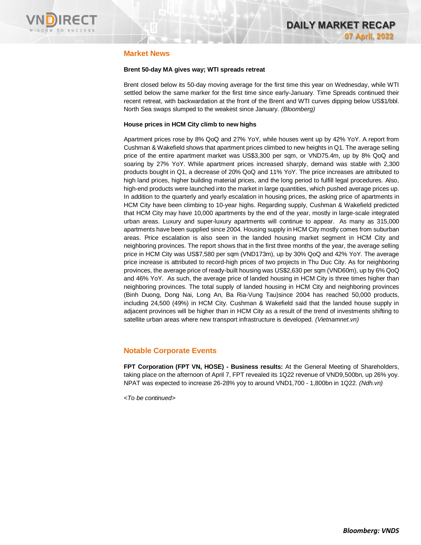

# **Market News**

### **Brent 50-day MA gives way; WTI spreads retreat**

Brent closed below its 50-day moving average for the first time this year on Wednesday, while WTI settled below the same marker for the first time since early-January. Time Spreads continued their recent retreat, with backwardation at the front of the Brent and WTI curves dipping below US\$1/bbl. North Sea swaps slumped to the weakest since January. *(Bloomberg)*

### **House prices in HCM City climb to new highs**

Apartment prices rose by 8% QoQ and 27% YoY, while houses went up by 42% YoY. A report from Cushman & Wakefield shows that apartment prices climbed to new heights in Q1. The average selling price of the entire apartment market was US\$3,300 per sqm, or VND75.4m, up by 8% QoQ and soaring by 27% YoY. While apartment prices increased sharply, demand was stable with 2,300 products bought in Q1, a decrease of 20% QoQ and 11% YoY. The price increases are attributed to high land prices, higher building material prices, and the long period to fulfill legal procedures. Also, high-end products were launched into the market in large quantities, which pushed average prices up. In addition to the quarterly and yearly escalation in housing prices, the asking price of apartments in HCM City have been climbing to 10-year highs. Regarding supply, Cushman & Wakefield predicted that HCM City may have 10,000 apartments by the end of the year, mostly in large-scale integrated urban areas. Luxury and super-luxury apartments will continue to appear. As many as 315,000 apartments have been supplied since 2004. Housing supply in HCM City mostly comes from suburban areas. Price escalation is also seen in the landed housing market segment in HCM City and neighboring provinces. The report shows that in the first three months of the year, the average selling price in HCM City was US\$7,580 per sqm (VND173m), up by 30% QoQ and 42% YoY. The average price increase is attributed to record-high prices of two projects in Thu Duc City. As for neighboring provinces, the average price of ready-built housing was US\$2,630 per sqm (VND60m), up by 6% QoQ and 46% YoY. As such, the average price of landed housing in HCM City is three times higher than neighboring provinces. The total supply of landed housing in HCM City and neighboring provinces (Binh Duong, Dong Nai, Long An, Ba Ria-Vung Tau)since 2004 has reached 50,000 products, including 24,500 (49%) in HCM City. Cushman & Wakefield said that the landed house supply in adjacent provinces will be higher than in HCM City as a result of the trend of investments shifting to satellite urban areas where new transport infrastructure is developed. *(Vietnamnet.vn)*

# **Notable Corporate Events**

**FPT Corporation (FPT VN, HOSE) - Business results:** At the General Meeting of Shareholders, taking place on the afternoon of April 7, FPT revealed its 1Q22 revenue of VND9,500bn, up 26% yoy. NPAT was expected to increase 26-28% yoy to around VND1,700 - 1,800bn in 1Q22. *(Ndh.vn)*

*<To be continued>*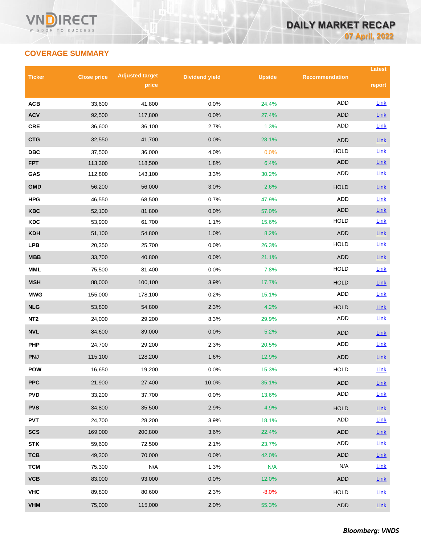# **COVERAGE SUMMARY**

| <b>Ticker</b>   | <b>Adjusted target</b><br><b>Close price</b> |         | <b>Dividend yield</b> | <b>Upside</b> | <b>Recommendation</b> | Latest      |
|-----------------|----------------------------------------------|---------|-----------------------|---------------|-----------------------|-------------|
|                 |                                              | price   |                       |               |                       | report      |
| <b>ACB</b>      | 33,600                                       | 41,800  | 0.0%                  | 24.4%         | <b>ADD</b>            | Link        |
| <b>ACV</b>      | 92,500                                       | 117,800 | 0.0%                  | 27.4%         | ADD                   | Link        |
| <b>CRE</b>      | 36,600                                       | 36,100  | 2.7%                  | 1.3%          | ADD                   | Link        |
| <b>CTG</b>      | 32,550                                       | 41,700  | 0.0%                  | 28.1%         | <b>ADD</b>            | Link        |
| <b>DBC</b>      | 37,500                                       | 36,000  | 4.0%                  | 0.0%          | <b>HOLD</b>           | Link        |
| <b>FPT</b>      | 113,300                                      | 118,500 | 1.8%                  | 6.4%          | ADD                   | Link        |
| GAS             | 112,800                                      | 143,100 | 3.3%                  | 30.2%         | <b>ADD</b>            | Link        |
| <b>GMD</b>      | 56,200                                       | 56,000  | 3.0%                  | 2.6%          | <b>HOLD</b>           | Link        |
| <b>HPG</b>      | 46,550                                       | 68,500  | 0.7%                  | 47.9%         | ADD                   | Link        |
| <b>KBC</b>      | 52,100                                       | 81,800  | 0.0%                  | 57.0%         | <b>ADD</b>            | Link        |
| <b>KDC</b>      | 53,900                                       | 61,700  | 1.1%                  | 15.6%         | <b>HOLD</b>           | Link        |
| KDH             | 51,100                                       | 54,800  | 1.0%                  | 8.2%          | <b>ADD</b>            | Link        |
| <b>LPB</b>      | 20,350                                       | 25,700  | 0.0%                  | 26.3%         | <b>HOLD</b>           | Link        |
| MBB             | 33,700                                       | 40,800  | 0.0%                  | 21.1%         | <b>ADD</b>            | Link        |
| <b>MML</b>      | 75,500                                       | 81,400  | 0.0%                  | 7.8%          | <b>HOLD</b>           | <b>Link</b> |
| <b>MSH</b>      | 88,000                                       | 100,100 | 3.9%                  | 17.7%         | <b>HOLD</b>           | Link        |
| <b>MWG</b>      | 155,000                                      | 178,100 | 0.2%                  | 15.1%         | ADD                   | <b>Link</b> |
| <b>NLG</b>      | 53,800                                       | 54,800  | 2.3%                  | 4.2%          | <b>HOLD</b>           | Link        |
| NT <sub>2</sub> | 24,000                                       | 29,200  | 8.3%                  | 29.9%         | <b>ADD</b>            | Link        |
| <b>NVL</b>      | 84,600                                       | 89,000  | 0.0%                  | 5.2%          | <b>ADD</b>            | Link        |
| <b>PHP</b>      | 24,700                                       | 29,200  | 2.3%                  | 20.5%         | ADD                   | <b>Link</b> |
| <b>PNJ</b>      | 115,100                                      | 128,200 | 1.6%                  | 12.9%         | <b>ADD</b>            | Link        |
| <b>POW</b>      | 16,650                                       | 19,200  | 0.0%                  | 15.3%         | <b>HOLD</b>           | Link        |
| <b>PPC</b>      | 21,900                                       | 27,400  | 10.0%                 | 35.1%         | ADD                   | Link        |
| <b>PVD</b>      | 33,200                                       | 37,700  | 0.0%                  | 13.6%         | ADD                   | Link        |
| <b>PVS</b>      | 34,800                                       | 35,500  | 2.9%                  | 4.9%          | <b>HOLD</b>           | Link        |
| <b>PVT</b>      | 24,700                                       | 28,200  | 3.9%                  | 18.1%         | ADD                   | Link        |
| <b>SCS</b>      | 169,000                                      | 200,800 | 3.6%                  | 22.4%         | ADD                   | Link        |
| <b>STK</b>      | 59,600                                       | 72,500  | 2.1%                  | 23.7%         | ADD                   | Link        |
| <b>TCB</b>      | 49,300                                       | 70,000  | 0.0%                  | 42.0%         | ADD                   | <b>Link</b> |
| <b>TCM</b>      | 75,300                                       | N/A     | 1.3%                  | N/A           | N/A                   | Link        |
| VCB             | 83,000                                       | 93,000  | 0.0%                  | 12.0%         | ADD                   | Link        |
| <b>VHC</b>      | 89,800                                       | 80,600  | 2.3%                  | $-8.0%$       | <b>HOLD</b>           | Link        |
| <b>VHM</b>      | 75,000                                       | 115,000 | 2.0%                  | 55.3%         | <b>ADD</b>            | $Link$      |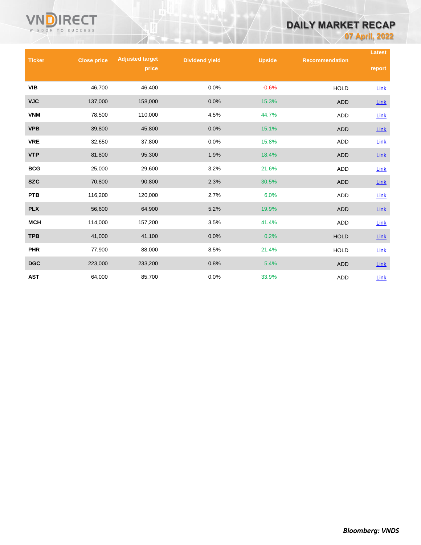# **DAILY MARKET RECAP**

**07 April, 2022**

|               |                    | <b>Adjusted target</b> |                       |               |                       | Latest      |
|---------------|--------------------|------------------------|-----------------------|---------------|-----------------------|-------------|
| <b>Ticker</b> | <b>Close price</b> | price                  | <b>Dividend yield</b> | <b>Upside</b> | <b>Recommendation</b> | report      |
| VIB           | 46,700             | 46,400                 | 0.0%                  | $-0.6%$       | <b>HOLD</b>           | Link        |
| <b>VJC</b>    | 137,000            | 158,000                | 0.0%                  | 15.3%         | <b>ADD</b>            | Link        |
| <b>VNM</b>    | 78,500             | 110,000                | 4.5%                  | 44.7%         | ADD                   | $Link$      |
| <b>VPB</b>    | 39,800             | 45,800                 | 0.0%                  | 15.1%         | <b>ADD</b>            | $Link$      |
| <b>VRE</b>    | 32,650             | 37,800                 | 0.0%                  | 15.8%         | ADD                   | Link        |
| <b>VTP</b>    | 81,800             | 95,300                 | 1.9%                  | 18.4%         | <b>ADD</b>            | <b>Link</b> |
| <b>BCG</b>    | 25,000             | 29,600                 | 3.2%                  | 21.6%         | <b>ADD</b>            | $Link$      |
| <b>SZC</b>    | 70,800             | 90,800                 | 2.3%                  | 30.5%         | <b>ADD</b>            | Link        |
| <b>PTB</b>    | 116,200            | 120,000                | 2.7%                  | 6.0%          | ADD                   | $Link$      |
| <b>PLX</b>    | 56,600             | 64,900                 | 5.2%                  | 19.9%         | <b>ADD</b>            | <b>Link</b> |
| <b>MCH</b>    | 114,000            | 157,200                | 3.5%                  | 41.4%         | ADD                   | Link        |
| <b>TPB</b>    | 41,000             | 41,100                 | 0.0%                  | 0.2%          | <b>HOLD</b>           | Link        |
| <b>PHR</b>    | 77,900             | 88,000                 | 8.5%                  | 21.4%         | <b>HOLD</b>           | <b>Link</b> |
| <b>DGC</b>    | 223,000            | 233,200                | 0.8%                  | 5.4%          | <b>ADD</b>            | Link        |
| <b>AST</b>    | 64,000             | 85,700                 | 0.0%                  | 33.9%         | <b>ADD</b>            | Link        |

VND

**RECT** 

WISDOM TO SUCCESS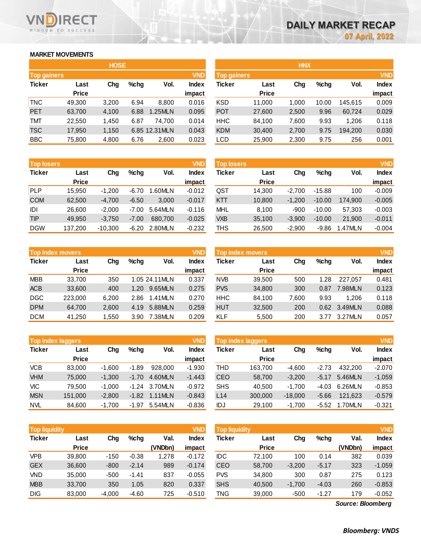# **MARKET MOVEMENTS**

WISDOM TO SUCCESS

RECT

| <b>HOSE</b>        |       |         |         |               |  |  |  |  |  |
|--------------------|-------|---------|---------|---------------|--|--|--|--|--|
| <b>Top gainers</b> |       |         |         | <b>VND</b>    |  |  |  |  |  |
| Last               | Cha   | $%$ chg | Vol.    | <b>Index</b>  |  |  |  |  |  |
| <b>Price</b>       |       |         |         | impact        |  |  |  |  |  |
| 49,300             | 3,200 | 6.94    | 8,800   | 0.016         |  |  |  |  |  |
| 63,700             | 4,100 | 6.88    | 1.25MLN | 0.095         |  |  |  |  |  |
| 22,550             | 1,450 | 6.87    | 74.700  | 0.014         |  |  |  |  |  |
| 17,950             | 1,150 |         |         | 0.043         |  |  |  |  |  |
| 75,800             | 4,800 | 6.76    | 2,600   | 0.023         |  |  |  |  |  |
|                    |       |         |         | 6.85 12.31MLN |  |  |  |  |  |

| <b>Top losers</b> |              |           |         |         | <b>VND</b>   |
|-------------------|--------------|-----------|---------|---------|--------------|
| <b>Ticker</b>     | Last         | Cha       | $%$ chg | Vol.    | <b>Index</b> |
|                   | <b>Price</b> |           |         |         | impact       |
| <b>PLP</b>        | 15,950       | $-1,200$  | $-6.70$ | 1.60MLN | $-0.012$     |
| <b>COM</b>        | 62,500       | $-4,700$  | $-6.50$ | 3.000   | $-0.017$     |
| IDI               | 26,600       | $-2,000$  | -7.00   | 5.64MLN | $-0.116$     |
| <b>TIP</b>        | 49,950       | $-3,750$  | $-7.00$ | 680.700 | $-0.025$     |
| <b>DGW</b>        | 137,200      | $-10,300$ | $-6.20$ | 2.80MLN | $-0.232$     |

|               | <b>Top index movers</b> |       |         |                |              |  |  |  |  |  |
|---------------|-------------------------|-------|---------|----------------|--------------|--|--|--|--|--|
| <b>Ticker</b> | Last                    | Cha   | $%$ chg | Vol.           | <b>Index</b> |  |  |  |  |  |
|               | <b>Price</b>            |       |         |                | impact       |  |  |  |  |  |
| <b>MBB</b>    | 33,700                  | 350   |         | 1.05 24.11 MLN | 0.337        |  |  |  |  |  |
| <b>ACB</b>    | 33,600                  | 400   | 1.20    | 9.65MLN        | 0.275        |  |  |  |  |  |
| <b>DGC</b>    | 223,000                 | 6,200 | 2.86    | 1.41MLN        | 0.270        |  |  |  |  |  |
| <b>DPM</b>    | 64,700                  | 2,600 | 4.19    | 5.88MLN        | 0.259        |  |  |  |  |  |
| <b>DCM</b>    | 41,250                  | 1,550 | 3.90    | 7.38MLN        | 0.209        |  |  |  |  |  |

|               | <b>Top index laggers</b> |          |         |         |              |  |  |  |  |
|---------------|--------------------------|----------|---------|---------|--------------|--|--|--|--|
| <b>Ticker</b> | Last                     | Cha      | $%$ chg | Vol.    | <b>Index</b> |  |  |  |  |
|               | <b>Price</b>             |          |         |         | impact       |  |  |  |  |
| <b>VCB</b>    | 83,000                   | $-1,600$ | $-1.89$ | 928.000 | $-1.930$     |  |  |  |  |
| <b>VHM</b>    | 75,000                   | $-1,300$ | $-1.70$ | 4.60MLN | $-1.443$     |  |  |  |  |
| VIC           | 79,500                   | $-1,000$ | $-1.24$ | 3.70MLN | $-0.972$     |  |  |  |  |
| <b>MSN</b>    | 151,000                  | $-2,800$ | $-1.82$ | 1.11MLN | $-0.843$     |  |  |  |  |
| <b>NVL</b>    | 84,600                   | $-1,700$ | -1.97   | 5.54MLN | $-0.836$     |  |  |  |  |

| <b>VND</b><br><b>Top liquidity</b> |              |          |         |         |              |  |  |  |  |
|------------------------------------|--------------|----------|---------|---------|--------------|--|--|--|--|
| <b>Ticker</b>                      | Last         | Cha      | %chq    | Val.    | <b>Index</b> |  |  |  |  |
|                                    | <b>Price</b> |          |         | (VNDbn) | impact       |  |  |  |  |
| <b>VPB</b>                         | 39,800       | $-150$   | $-0.38$ | 1,278   | $-0.172$     |  |  |  |  |
| <b>GEX</b>                         | 36,600       | $-800$   | $-2.14$ | 989     | $-0.174$     |  |  |  |  |
| <b>VND</b>                         | 35,000       | $-500$   | $-1.41$ | 837     | $-0.055$     |  |  |  |  |
| <b>MBB</b>                         | 33,700       | 350      | 1.05    | 820     | 0.337        |  |  |  |  |
| <b>DIG</b>                         | 83,000       | $-4,000$ | $-4.60$ | 725     | $-0.510$     |  |  |  |  |

|                    |              | <b>HOSE</b> |         |                |              |                    |              | <b>HNX</b> |         |         |              |
|--------------------|--------------|-------------|---------|----------------|--------------|--------------------|--------------|------------|---------|---------|--------------|
| <b>Top gainers</b> |              |             |         |                | <b>VND</b>   | <b>Top gainers</b> |              |            |         |         | <b>VND</b>   |
| Ticker             | Last         | Chg         | $%$ chg | Vol.           | <b>Index</b> | Ticker             | Last         | Chg        | $%$ chg | Vol.    | <b>Index</b> |
|                    | <b>Price</b> |             |         |                | impact       |                    | <b>Price</b> |            |         |         | impact       |
| TNC                | 49,300       | 3,200       | 6.94    | 8.800          | 0.016        | <b>KSD</b>         | 11,000       | 1.000      | 10.00   | 145.615 | 0.009        |
| PET                | 63,700       | 4,100       | 6.88    | 1.25MLN        | 0.095        | <b>POT</b>         | 27,600       | 2,500      | 9.96    | 60,724  | 0.029        |
| TMT                | 22,550       | 1,450       | 6.87    | 74,700         | 0.014        | <b>HHC</b>         | 84,100       | 7,600      | 9.93    | 1,206   | 0.118        |
| <b>TSC</b>         | 17,950       | 1,150       |         | 6.85 12.31 MLN | 0.043        | <b>KDM</b>         | 30,400       | 2,700      | 9.75    | 194,200 | 0.030        |
| <b>BBC</b>         | 75,800       | 4,800       | 6.76    | 2,600          | 0.023        | <b>LCD</b>         | 25,900       | 2,300      | 9.75    | 256     | 0.001        |
|                    |              |             |         |                |              |                    |              |            |         |         |              |

| <b>Top losers</b> |              |           |         |         | <b>VND</b> | <b>Top losers</b> |              |          |          |         | <b>VND</b>   |
|-------------------|--------------|-----------|---------|---------|------------|-------------------|--------------|----------|----------|---------|--------------|
| Ticker            | Last         | Chg       | $%$ chg | Vol.    | Index      | Ticker            | Last         | Chg      | $%$ chg  | Vol.    | <b>Index</b> |
|                   | <b>Price</b> |           |         |         | impact     |                   | <b>Price</b> |          |          |         | impact       |
| PLP               | 15.950       | $-1.200$  | $-6.70$ | .60MLN  | $-0.012$   | QST               | 14,300       | $-2.700$ | $-15.88$ | 100     | $-0.009$     |
| <b>COM</b>        | 62,500       | $-4,700$  | $-6.50$ | 3,000   | $-0.017$   | <b>KTT</b>        | 10,800       | $-1.200$ | $-10.00$ | 174.900 | $-0.005$     |
| IDI               | 26.600       | $-2.000$  | $-7.00$ | 5.64MLN | $-0.116$   | MHL               | 8.100        | $-900$   | $-10.00$ | 57.303  | $-0.003$     |
| TIP               | 49.950       | $-3.750$  | $-7.00$ | 680.700 | $-0.025$   | <b>VXB</b>        | 35,100       | $-3.900$ | $-10.00$ | 21,900  | $-0.011$     |
| <b>DGW</b>        | 137.200      | $-10,300$ | $-6.20$ | 2.80MLN | $-0.232$   | THS               | 26,500       | $-2,900$ | $-9.86$  | 1.47MLN | $-0.004$     |

|            | <b>Top index movers</b> |       |         |                | <b>VND</b>   | Top index movers |              |       |         |         | <b>VND</b>   |
|------------|-------------------------|-------|---------|----------------|--------------|------------------|--------------|-------|---------|---------|--------------|
| Ticker     | Last                    | Chg   | $%$ chg | Vol.           | <b>Index</b> | Ticker           | Last         | Chg   | $%$ chg | Vol.    | <b>Index</b> |
|            | <b>Price</b>            |       |         |                | impact       |                  | <b>Price</b> |       |         |         | impact       |
| <b>MBB</b> | 33,700                  | 350   |         | 1.05 24.11 MLN | 0.337        | <b>NVB</b>       | 39,500       | 500   | 1.28    | 227.057 | 0.481        |
| <b>ACB</b> | 33,600                  | 400   | 1.20    | 9.65MLN        | 0.275        | <b>PVS</b>       | 34,800       | 300   | 0.87    | 7.98MLN | 0.123        |
| <b>DGC</b> | 223,000                 | 6.200 | 2.86    | 1.41MLN        | 0.270        | HHC              | 84,100       | 7,600 | 9.93    | 1.206   | 0.118        |
| <b>DPM</b> | 64.700                  | 2,600 | 4.19    | 5.88MLN        | 0.259        | <b>HUT</b>       | 32,500       | 200   | 0.62    | 3.49MLN | 0.088        |
| <b>DCM</b> | 41,250                  | 1,550 | 3.90    | 7.38MLN        | 0.209        | <b>KLF</b>       | 5,500        | 200   | 3.77    | 3.27MLN | 0.057        |
|            |                         |       |         |                |              |                  |              |       |         |         |              |

|            | <b>Top index laggers</b> |          |         |         | <b>VND</b>   |            | Top index laggers |           |         |         | <b>VND</b>   |
|------------|--------------------------|----------|---------|---------|--------------|------------|-------------------|-----------|---------|---------|--------------|
| Ticker     | Last                     | Chg      | $%$ chg | Vol.    | <b>Index</b> | Ticker     | Last              | Chg       | $%$ chg | Vol.    | <b>Index</b> |
|            | <b>Price</b>             |          |         |         | impact       |            | <b>Price</b>      |           |         |         | impact       |
| VCB        | 83,000                   | $-1.600$ | $-1.89$ | 928,000 | $-1.930$     | THD        | 163.700           | -4.600    | $-2.73$ | 432.200 | $-2.070$     |
| <b>VHM</b> | 75,000                   | $-1.300$ | $-1.70$ | 4.60MLN | $-1.443$     | <b>CEO</b> | 58,700            | $-3.200$  | $-5.17$ | 5.46MLN | $-1.059$     |
| VIC        | 79.500                   | $-1.000$ | $-1.24$ | 3.70MLN | $-0.972$     | <b>SHS</b> | 40.500            | $-1.700$  | $-4.03$ | 6.26MLN | $-0.853$     |
| <b>MSN</b> | 151.000                  | $-2.800$ | $-1.82$ | 1.11MLN | $-0.843$     | L14        | 300,000           | $-18.000$ | $-5.66$ | 121.623 | $-0.579$     |
| NVL        | 84,600                   | $-1,700$ | -1.97   | 5.54MLN | $-0.836$     | IDJ        | 29,100            | $-1,700$  | $-5.52$ | 1.70MLN | $-0.321$     |

| <b>Top liquidity</b> |              |          |         |         | <b>VND</b>   | <b>Top liquidity</b> |              |          |         |         | <b>VND</b>   |
|----------------------|--------------|----------|---------|---------|--------------|----------------------|--------------|----------|---------|---------|--------------|
| Ticker               | Last         | Chg      | $%$ chg | Val.    | <b>Index</b> | Ticker               | Last         | Chg      | %chg    | Val.    | <b>Index</b> |
|                      | <b>Price</b> |          |         | (VNDbn) | impact       |                      | <b>Price</b> |          |         | (VNDbn) | impact       |
| VPB                  | 39,800       | $-150$   | $-0.38$ | .278    | $-0.172$     | IDC                  | 72.100       | 100      | 0.14    | 382     | 0.039        |
| <b>GEX</b>           | 36,600       | $-800$   | $-2.14$ | 989     | $-0.174$     | <b>CEO</b>           | 58,700       | $-3.200$ | $-5.17$ | 323     | $-1.059$     |
| VND                  | 35.000       | $-500$   | $-1.41$ | 837     | $-0.055$     | <b>PVS</b>           | 34,800       | 300      | 0.87    | 275     | 0.123        |
| <b>MBB</b>           | 33.700       | 350      | 1.05    | 820     | 0.337        | <b>SHS</b>           | 40.500       | $-1.700$ | $-4.03$ | 260     | $-0.853$     |
| <b>DIG</b>           | 83,000       | $-4,000$ | $-4.60$ | 725     | $-0.510$     | TNG                  | 39,000       | -500     | $-1.27$ | 179     | $-0.052$     |

*Source: Bloomberg*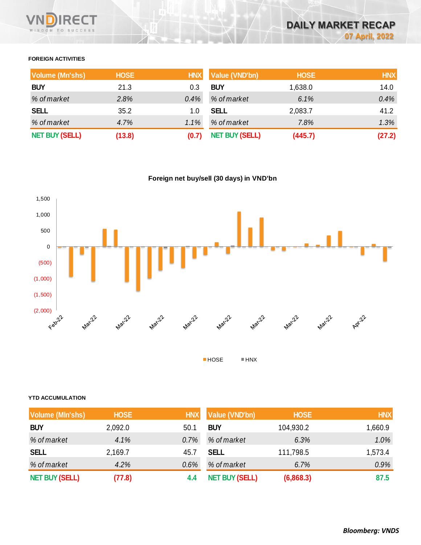# **FOREIGN ACTIVITIES**

| <b>Volume (Mn'shs)</b> | <b>HOSE</b> | <b>HNX</b> | <b>Value (VND'bn)</b> | <b>HOSE</b> | <b>HNX</b> |
|------------------------|-------------|------------|-----------------------|-------------|------------|
| <b>BUY</b>             | 21.3        | 0.3        | <b>BUY</b>            | 1,638.0     | 14.0       |
| % of market            | 2.8%        | 0.4%       | % of market           | 6.1%        | 0.4%       |
| <b>SELL</b>            | 35.2        | 1.0        | <b>SELL</b>           | 2,083.7     | 41.2       |
| % of market            | 4.7%        | 1.1%       | % of market           | 7.8%        | 1.3%       |
| <b>NET BUY (SELL)</b>  | (13.8)      | (0.7)      | <b>NET BUY (SELL)</b> | (445.7)     | (27.2)     |

**Foreign net buy/sell (30 days) in VND'bn**



### **YTD ACCUMULATION**

| <b>Volume (MIn'shs)</b> | <b>HOSE</b> | <b>HNX</b> | <b>Value (VND'bn)</b> | <b>HOSE</b> | HNX,    |
|-------------------------|-------------|------------|-----------------------|-------------|---------|
| <b>BUY</b>              | 2,092.0     | 50.1       | <b>BUY</b>            | 104,930.2   | 1,660.9 |
| % of market             | 4.1%        | 0.7%       | % of market           | 6.3%        | $1.0\%$ |
| <b>SELL</b>             | 2,169.7     | 45.7       | <b>SELL</b>           | 111,798.5   | 1,573.4 |
| % of market             | 4.2%        | 0.6%       | % of market           | 6.7%        | 0.9%    |
| <b>NET BUY (SELL)</b>   | (77.8)      | 4.4        | <b>NET BUY (SELL)</b> | (6,868.3)   | 87.5    |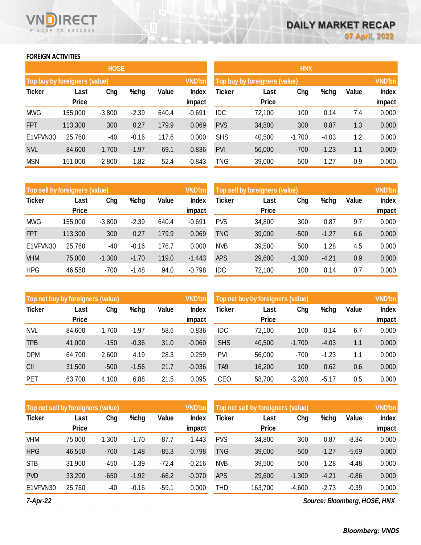# **FOREIGN ACTIVITIES**

WISDOM TO SUCCESS

RECT

Vľ

|                               |              | <b>HOSE</b> |         |       |               |               |                               | <b>HNX</b> |
|-------------------------------|--------------|-------------|---------|-------|---------------|---------------|-------------------------------|------------|
| Top buy by foreigners (value) |              |             |         |       | <b>VND'bn</b> |               | Top buy by foreigners (value) |            |
| <b>Ticker</b>                 | Last         | Chg         | %chg    | Value | Index         | <b>Ticker</b> | Last                          | Chg        |
|                               | <b>Price</b> |             |         |       | impact        |               | <b>Price</b>                  |            |
| <b>MWG</b>                    | 155,000      | $-3,800$    | $-2.39$ | 640.4 | $-0.691$      | <b>IDC</b>    | 72,100                        | 100        |
| <b>FPT</b>                    | 113,300      | 300         | 0.27    | 179.9 | 0.069         | <b>PVS</b>    | 34,800                        | 300        |
| E1VFVN30                      | 25,760       | -40         | $-0.16$ | 117.6 | 0.000         | <b>SHS</b>    | 40,500                        | $-1,700$   |
| <b>NVL</b>                    | 84,600       | $-1,700$    | $-1.97$ | 69.1  | $-0.836$      | <b>PVI</b>    | 56,000                        | $-700$     |
| <b>MSN</b>                    | 151,000      | $-2,800$    | $-1.82$ | 52.4  | $-0.843$      | TNG           | 39,000                        | $-500$     |

|            |                               | <b>HOSE</b> |         |       |               |               |                               | <b>HNX</b> |         |       |               |
|------------|-------------------------------|-------------|---------|-------|---------------|---------------|-------------------------------|------------|---------|-------|---------------|
|            | Top buy by foreigners (value) |             |         |       | <b>VND'bn</b> |               | Top buy by foreigners (value) |            |         |       | <b>VND'bn</b> |
| Ticker     | Last                          | Chg         | $%$ chg | Value | Index         | <b>Ticker</b> | Last                          | Chg        | %chg    | Value | Index         |
|            | <b>Price</b>                  |             |         |       | impact        |               | <b>Price</b>                  |            |         |       | impact        |
| <b>MWG</b> | 155,000                       | $-3,800$    | $-2.39$ | 640.4 | $-0.691$      | <b>IDC</b>    | 72,100                        | 100        | 0.14    | 7.4   | 0.000         |
| <b>FPT</b> | 113,300                       | 300         | 0.27    | 179.9 | 0.069         | <b>PVS</b>    | 34,800                        | 300        | 0.87    | 1.3   | 0.000         |
| E1VFVN30   | 25,760                        | $-40$       | $-0.16$ | 117.6 | 0.000         | <b>SHS</b>    | 40,500                        | $-1,700$   | $-4.03$ | 1.2   | 0.000         |
| <b>NVL</b> | 84,600                        | $-1,700$    | $-1.97$ | 69.1  | $-0.836$      | <b>PVI</b>    | 56,000                        | $-700$     | $-1.23$ | 1.1   | 0.000         |
| <b>MSN</b> | 151,000                       | $-2,800$    | $-1.82$ | 52.4  | $-0.843$      | <b>TNG</b>    | 39,000                        | $-500$     | $-1.27$ | 0.9   | 0.000         |

| Top sell by foreigners (value) |              |          |         |       | <b>VND'bn</b> | Top sell by foreigners (value) |              |          |         |       | <b>VND'bn</b> |
|--------------------------------|--------------|----------|---------|-------|---------------|--------------------------------|--------------|----------|---------|-------|---------------|
| <b>Ticker</b>                  | Last         | Chg      | %chg    | Value | Index         | <b>Ticker</b>                  | Last         | Chg      | %chg    | Value | <b>Index</b>  |
|                                | <b>Price</b> |          |         |       | impact        |                                | <b>Price</b> |          |         |       | impact        |
| <b>MWG</b>                     | 155,000      | $-3,800$ | $-2.39$ | 640.4 | $-0.691$      | <b>PVS</b>                     | 34,800       | 300      | 0.87    | 9.7   | 0.000         |
| <b>FPT</b>                     | 113,300      | 300      | 0.27    | 179.9 | 0.069         | TNG                            | 39,000       | $-500$   | $-1.27$ | 6.6   | 0.000         |
| E1VFVN30                       | 25,760       | -40      | $-0.16$ | 176.7 | 0.000         | <b>NVB</b>                     | 39,500       | 500      | 1.28    | 4.5   | 0.000         |
| <b>VHM</b>                     | 75,000       | $-1,300$ | $-1.70$ | 119.0 | $-1.443$      | <b>APS</b>                     | 29,600       | $-1,300$ | $-4.21$ | 0.9   | 0.000         |
| <b>HPG</b>                     | 46,550       | $-700$   | $-1.48$ | 94.0  | $-0.798$      | <b>IDC</b>                     | 72,100       | 100      | 0.14    | 0.7   | 0.000         |

| Top net buy by foreigners (value) |              |          |         |       | <b>VND'bn</b> |                 | Top net buy by foreigners (value), |          |         |       | <b>VND'bn</b> |
|-----------------------------------|--------------|----------|---------|-------|---------------|-----------------|------------------------------------|----------|---------|-------|---------------|
| <b>Ticker</b>                     | Last         | Chg      | %chg    | Value | Index         | Ticker          | Last                               | Chg      | %chg    | Value | Index         |
|                                   | <b>Price</b> |          |         |       | impact        |                 | <b>Price</b>                       |          |         |       | impact        |
| <b>NVL</b>                        | 84,600       | $-1,700$ | $-1.97$ | 58.6  | $-0.836$      | <b>IDC</b>      | 72,100                             | 100      | 0.14    | 6.7   | 0.000         |
| <b>TPB</b>                        | 41,000       | $-150$   | $-0.36$ | 31.0  | $-0.060$      | <b>SHS</b>      | 40,500                             | $-1,700$ | $-4.03$ | 1.1   | 0.000         |
| <b>DPM</b>                        | 64,700       | 2,600    | 4.19    | 28.3  | 0.259         | <b>PVI</b>      | 56,000                             | $-700$   | $-1.23$ | 1.1   | 0.000         |
| CII                               | 31,500       | $-500$   | $-1.56$ | 21.7  | $-0.036$      | TA <sub>9</sub> | 16,200                             | 100      | 0.62    | 0.6   | 0.000         |
| PET                               | 63,700       | 4,100    | 6.88    | 21.5  | 0.095         | <b>CEO</b>      | 58,700                             | $-3,200$ | -5.17   | 0.5   | 0.000         |

|               | Top net sell by foreigners (value) |          |         |         |          |            | Top net sell by foreigners (value) |          |         |         |        |  |
|---------------|------------------------------------|----------|---------|---------|----------|------------|------------------------------------|----------|---------|---------|--------|--|
| <b>Ticker</b> | Last                               | Chg      | %chg    | Value   | Index    | Ticker     | Last                               | Chg      | %chg    | Value   | Index  |  |
|               | <b>Price</b>                       |          |         |         | impact   |            | <b>Price</b>                       |          |         |         | impact |  |
| VHM           | 75,000                             | $-1,300$ | $-1.70$ | $-87.7$ | $-1.443$ | <b>PVS</b> | 34,800                             | 300      | 0.87    | $-8.34$ | 0.000  |  |
| <b>HPG</b>    | 46,550                             | $-700$   | $-1.48$ | $-85.3$ | $-0.798$ | <b>TNG</b> | 39,000                             | $-500$   | $-1.27$ | $-5.69$ | 0.000  |  |
| <b>STB</b>    | 31,900                             | $-450$   | $-1.39$ | $-72.4$ | $-0.216$ | <b>NVB</b> | 39,500                             | 500      | 1.28    | $-4.48$ | 0.000  |  |
| <b>PVD</b>    | 33,200                             | $-650$   | $-1.92$ | $-66.2$ | $-0.070$ | <b>APS</b> | 29,600                             | $-1,300$ | $-4.21$ | $-0.86$ | 0.000  |  |
| E1VFVN30      | 25,760                             | $-40$    | $-0.16$ | $-59.1$ | 0.000    | THD        | 163,700                            | $-4,600$ | $-2.73$ | $-0.39$ | 0.000  |  |

*7-Apr-22*

*Source: Bloomberg, HOSE, HNX*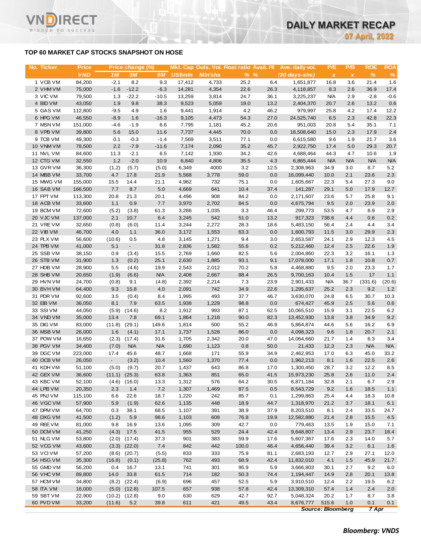# **TOP 60 MARKET CAP STOCKS SNAPSHOT ON HOSE**

T.

WISDOM TO SUCCESS

| No. Ticker             | <b>Price</b><br><b>VND</b> | 1M              | Price change (%)<br>3M   | 6M            | <b>US\$mln</b> | <b>MIn'shs</b> | Mkt. Cap Outs. Vol. Float ratio Avail. Fil<br>$%$ % |              | Ave. daily vol.<br>$(30 \, \text{days-shs})$ | P/E<br>$\boldsymbol{\mathsf{x}}$ | P/B<br>$\boldsymbol{\mathsf{x}}$ | <b>ROE</b><br>$\%$ | ROA<br>$\%$       |
|------------------------|----------------------------|-----------------|--------------------------|---------------|----------------|----------------|-----------------------------------------------------|--------------|----------------------------------------------|----------------------------------|----------------------------------|--------------------|-------------------|
| 1 VCB VM               | 84,200                     | $-2.1$          | 8.2                      | 9.3           | 17,412         | 4,733          | 25.2                                                | 6.4          | 1,651,877                                    | 16.8                             | 3.6                              | 21.4               | 1.6               |
| 2 VHM VM               | 75,000                     | $-1.6$          | $-12.2$                  | $-6.3$        | 14,281         | 4,354          | 22.6                                                | 26.3         | 4,118,857                                    | 8.3                              | 2.6                              | 36.9               | 17.4              |
| 3 VIC VM               | 79,500                     | 1.3             | $-22.2$                  | $-10.5$       | 13,259         | 3,814          | 24.7                                                | 36.1         | 3,225,237                                    | <b>N/A</b>                       | 2.9                              | $-2.8$             | $-0.6$            |
| 4 BID VM               | 43,050                     | 1.9             | 9.8                      | 38.3          | 9,523          | 5,059          | 19.0                                                | 13.2         | 2,404,370                                    | 20.7                             | 2.6                              | 13.2               | 0.6               |
| 5 GAS VM               | 112,800                    | $-9.5$          | 4.9                      | 1.6           | 9,441          | 1,914          | 4.2                                                 | 46.2         | 979,997                                      | 25.8                             | 4.2                              | 17.4               | 12.2              |
| 6 HPG VM               | 46,550                     | $-8.9$          | 1.6                      | $-16.3$       | 9,105          | 4,473          | 54.3                                                | 27.0         | 24,525,740                                   | 6.5                              | 2.3                              | 42.8               | 22.3              |
| 7 MSN VM               | 151,000                    | $-4.6$          | $-1.9$                   | 6.6           | 7,795          | 1,181          | 45.2                                                | 20.6         | 951,003                                      | 20.8                             | 5.4                              | 35.1               | 7.1               |
| 8 VPB VM               | 39,800                     | 5.6             | 15.0                     | 11.6          | 7,737          | 4,445          | 70.0                                                | 0.0          | 18,508,640                                   | 15.0                             | 2.3                              | 17.9               | 2.4               |
| 9 TCB VM               | 49,300                     | 0.1             | $-0.3$                   | $-1.4$        | 7,569          | 3,511          | 77.1                                                | 0.0          | 6,615,580                                    | 9.6                              | 1.9                              | 21.7               | 3.6               |
| 10 VNM VM              | 78,500                     | 2.2             | $-7.9$                   | $-11.6$       | 7,174          | 2,090          | 35.2                                                | 45.7         | 2,922,750                                    | 17.4                             | 5.0                              | 29.3               | 20.7              |
| 11 NVL VM              | 84,600                     | 11.3            | $-2.1$                   | 6.5           | 7,142          | 1,930          | 34.2                                                | 42.6         | 4,688,464                                    | 44.3                             | 4.7                              | 10.6               | 1.9               |
| 12 CTG VM<br>13 GVR VM | 32,550<br>36,300           | 1.2             | $-2.0$<br>(5.7)          | 10.9<br>(5.0) | 6,840          | 4,806<br>4000  | 35.5<br>3.2                                         | 4.3<br>12.5  | 6,865,444                                    | <b>N/A</b><br>34.9               | <b>N/A</b><br>3.0                | <b>N/A</b><br>8.7  | <b>N/A</b><br>5.2 |
| 14 MBB VM              | 33,700                     | (1.2)<br>4.7    | 17.8                     | 21.9          | 6,349<br>5,568 | 3,778          | 59.0                                                | 0.0          | 2,308,963<br>16,099,440                      | 10.0                             | 2.1                              | 23.6               | 2.3               |
| 15 MWG VM              | 155,000                    | 15.5            | 14.4                     | 21.1          | 4,962          | 732            | 75.1                                                | 0.0          | 1,605,667                                    | 22.3                             | 5.4                              | 27.3               | 9.0               |
| 16 SAB VM              | 166,500                    | 7.7             | 8.7                      | 5.0           | 4,669          | 641            | 10.4                                                | 37.4         | 141,287                                      | 29.1                             | 5.0                              | 17.9               | 12.7              |
| 17 FPT VM              | 113,300                    | 20.8            | 21.3                     | 20.1          | 4,496          | 908            | 84.2                                                | 0.0          | 2,171,607                                    | 23.6                             | 5.7                              | 25.8               | 9.1               |
| 18 ACB VM              | 33,600                     | 1.1             | 0.9                      | 7.7           | 3,970          | 2,702          | 84.5                                                | 0.0          | 4,675,794                                    | 9.5                              | 2.0                              | 23.9               | 2.0               |
| 19 BCM VM              | 72,600                     | (5.2)           | (3.8)                    | 61.3          | 3,286          | 1,035          | 3.3                                                 | 46.4         | 299,773                                      | 53.5                             | 4.7                              | 8.9                | 2.9               |
| 20 VJC VM              | 137,000                    | 2.1             | 10.7                     | 6.4           | 3,245          | 542            | 51.0                                                | 13.2         | 917,323                                      | 738.6                            | 4.4                              | 0.6                | 0.2               |
| 21 VREVM               | 32,650                     | (0.8)           | (6.0)                    | 11.4          | 3,244          | 2,272          | 28.3                                                | 18.6         | 5,483,150                                    | 56.4                             | 2.4                              | 4.4                | 3.4               |
| 22 VIB VM              | 46,700                     | 4.0             | 1.1                      | 36.0          | 3,172          | 1,553          | 63.3                                                | 0.0          | 1,600,793                                    | 11.5                             | 3.0                              | 29.9               | 2.3               |
| 23 PLX VM              | 56,600                     | (10.6)          | 0.5                      | 4.8           | 3,145          | 1,271          | 9.4                                                 | 3.0          | 2,653,587                                    | 24.1                             | 2.9                              | 12.3               | 4.5               |
| 24 TPB VM              | 41,000                     | 5.1             | $\overline{\phantom{a}}$ | 31.8          | 2,836          | 1,582          | 55.6                                                | 0.2          | 5,212,460                                    | 12.4                             | 2.5                              | 22.6               | 1.9               |
| 25 SSB VM              | 38,150                     | 0.9             | (3.4)                    | 15.5          | 2,769          | 1,660          | 82.5                                                | 5.6          | 2,004,860                                    | 22.3                             | 3.2                              | 16.1               | 1.3               |
| 26 STB VM              | 31,900                     | 1.3             | (0.2)                    | 25.1          | 2,630          | 1,885          | 93.1                                                | 9.1          | 17,078,000                                   | 17.1                             | 1.8                              | 10.8               | 0.7               |
| 27 HDB VM              | 28,900                     | 5.5             | (4.6)                    | 19.9          | 2,543          | 2,012          | 70.2                                                | 5.8          | 4,468,880                                    | 9.5                              | 2.0                              | 23.3               | 1.7               |
| 28 SHB VM              | 20,650                     | (1.9)           | (6.6)                    | <b>N/A</b>    | 2,408          | 2,667          | 88.4                                                | 26.5         | 9,700,163                                    | 10.4                             | 1.5                              | 17                 | $1.1$             |
| 29 HVN VM              | 24,700                     | (0.8)           | 9.1                      | (4.8)         | 2,392          | 2,214          | 7.3                                                 | 23.9         | 2,901,433                                    | <b>N/A</b>                       | 36.7                             | (331.6)            | (20.6)            |
| 30 BVHVM               | 64,400                     | 9.3             | 15.8                     | 4.0           | 2,091          | 742            | 34.9                                                | 22.6         | 1,295,637                                    | 25.2                             | 2.3                              | 9.2                | $1.2$             |
| 31 PDR VM              | 92,600                     | 3.5             | (0.4)                    | 8.4           | 1,995          | 493            | 37.7                                                | 46.7         | 3,630,070                                    | 24.8                             | 6.5                              | 30.7               | 10.3              |
| 32 EIB VM              | 36,050                     | 8.1             | 7.9                      | 63.5          | 1,938          | 1,229          | 98.8                                                | 0.0          | 674,427                                      | 45.9                             | 2.5                              | 5.6                | 0.6               |
| 33 SSIVM               | 44,050                     | (5.9)           | (14.6)                   | 8.2           | 1,912          | 993            | 87.1                                                | 62.5         | 10,065,510                                   | 15.9                             | 3.1                              | 22.5               | 6.2               |
| 34 VND VM              | 35,000                     | 13.4            | 7.8                      | 69.1          | 1,864          | 1,218          | 90.0                                                | 82.3         | 13,452,930                                   | 13.8                             | 3.8                              | 34.9               | 9.2               |
| 35 DIG VM<br>36 MSB VM | 83,000<br>26,000           | (11.8)<br>1.6   | (29.1)<br>(4.1)          | 149.6<br>17.1 | 1,814<br>1,737 | 500<br>1,528   | 55.2<br>86.0                                        | 46.9<br>0.0  | 5,864,874<br>4,098,323                       | 44.6<br>9.6                      | 5.6<br>1.8                       | 16.2<br>20.7       | 6.9<br>2.1        |
| 37 POW VM              | 16,650                     | (2.3)           | (17.4)                   | 31.6          | 1,705          | 2,342          | 20.0                                                | 47.0         | 14,064,660                                   | 21.7                             | 1.4                              | 6.3                | 3.4               |
| 38 PGV VM              | 34,400                     | (7.0)           | <b>N/A</b>               | <b>N/A</b>    | 1,690          | 1,123          | 0.8                                                 | 50.0         | 21,433                                       | 12.3                             | 2.3                              | <b>N/A</b>         | <b>N/A</b>        |
| 39 DGC VM              | 223,000                    | 17.4            | 45.6                     | 48.7          | 1,668          | 171            | 55.9                                                | 34.9         | 2,462,953                                    | 17.0                             | 6.3                              | 45.0               | 33.2              |
| 40 OCB VM              | 26,050                     | $\blacksquare$  | (3.2)                    | 10.4          | 1,560          | 1,370          | 77.4                                                | 0.0          | 1,962,213                                    | 8.1                              | 1.6                              | 22.5               | 2.6               |
| 41 KDH VM              | 51,100                     | (5.0)           | (9.7)                    | 20.7          | 1,437          | 643            | 86.8                                                | 17.0         | 1,300,450                                    | 28.7                             | 3.2                              | 12.2               | 8.5               |
| 42 GEX VM              | 36,600                     | (11.1)          | (25.3)                   | 63.8          | 1,363          | 851            | 65.0                                                | 41.5         | 15,973,230                                   | 25.8                             | 2.6                              | 11.0               | 2.4               |
| 43 KBC VM              | 52,100                     | (4.6)           | (16.0)                   | 13.3          | 1,312          | 576            | 64.2                                                | 30.5         | 6,871,184                                    | 32.8                             | 2.1                              | 6.7                | 2.9               |
| 44 LPB VM              | 20,350                     | 2.3             | 1.4                      | 7.2           | 1,307          | 1,469          | 87.5                                                | 0.5          | 8,543,729                                    | 9.2                              | 1.6                              | 18.5               | 1.1               |
| 45 PNJ VM              | 115,100                    | 6.6             | 22.6                     | 18.7          | 1,220          | 242            | 85.7                                                | 0.1          | 1,299,863                                    | 25.4                             | 4.4                              | 18.3               | 10.8              |
| 46 VGC VM              | 57,900                     | 5.9             | (1.9)                    | 62.6          | 1,135          | 448            | 18.9                                                | 44.7         | 1,318,970                                    | 21.2                             | 3.7                              | 18.1               | 6.1               |
| 47 DPM VM              | 64,700                     | 0.3             | 38.1                     | 68.5          | 1,107          | 391            | 38.9                                                | 37.9         | 8,203,510                                    | 8.1                              | 2.4                              | 33.5               | 24.7              |
| 48 DXG VM              | 41,500                     | (1.2)           | 5.9                      | 98.6          | 1,103          | 608            | 76.8                                                | 19.9         | 12,582,880                                   | 21.4                             | 2.8                              | 15.5               | 4.5               |
| 49 REE VM              | 81,000                     | 9.8             | 16.9                     | 13.6          | 1,095          | 309            | 42.7                                                | 0.0          | 779,463                                      | 13.5                             | 1.9                              | 15.0               | 7.1               |
| 50 DCM VM              | 41,250                     | (4.3)           | 17.5                     | 41.5          | 955            | 529            | 24.4                                                | 42.4         | 9,648,807                                    | 13.4                             | 2.9                              | 23.7               | 18.4              |
| 51 NLG VM              | 53,800                     | (2.0)           | (17.4)                   | 37.3          | 901            | 383            | 59.9                                                | 17.6         | 5,607,367                                    | 17.6                             | 2.3                              | 14.0               | 5.7               |
| 52 VCG VM              | 43,600                     |                 | $(3.3)$ $(22.0)$         | 7.4           | 842            | 442            | 100.0                                               | 46.4         | 4,656,440                                    | 39.4                             | 3.2                              | 6.1                | 1.6               |
| 53 VCIVM               | 57,200                     |                 | $(8.6)$ $(20.7)$         | (5.5)         | 833            | 333            | 75.9                                                | 81.1         | 2,683,193                                    | 12.7                             | 2.9                              | 27.1               | 12.0              |
| 54 HSG VM              | 35,300                     | (16.8)          | (0.1)                    | (25.8)        | 762            | 493            | 68.9                                                | 42.4         | 11,832,010                                   | 4.1                              | 1.5                              | 45.9               | 21.7              |
| 55 GMD VM              | 56,200                     | 0.4             | 16.7                     | 13.1          | 741            | 301            | 95.9                                                | 5.9          | 3,666,803                                    | 30.1                             | 2.7                              | 9.2                | 6.0               |
| 56 VHC VM              | 89,800                     | 14.0            | 33.8                     | 61.5          | 714            | 182            | 50.3                                                | 74.4         | 1,194,447                                    | 14.9                             | 2.8                              | 20.1               | 13.8              |
| 57 HCM VM              | 34,800                     | (8.2)           | (22.4)                   | (6.9)         | 696            | 457            | 52.5                                                | 5.9          | 3,910,510                                    | 12.4                             | 2.2                              | 19.5               | 6.2               |
| 58 ITA VM<br>59 SBT VM | 16,000<br>22,900           | (5.0)<br>(10.2) | (12.8)<br>(12.8)         | 107.5<br>9.0  | 657<br>630     | 938<br>629     | 57.8<br>42.7                                        | 42.4<br>92.7 | 13,309,310<br>5,048,324                      | 57.4<br>20.2                     | 1.4<br>1.7                       | 2.4<br>8.7         | 2.0<br>3.8        |
| 60 PVD VM              | 33,200                     | (11.6)          | $5.2$                    | 39.8          | 611            | 421            | 49.5                                                | 43.4         | 8,676,777                                    | 515.6                            | 1.0                              | 0.1                | 0.1               |
|                        |                            |                 |                          |               |                |                |                                                     |              |                                              |                                  |                                  |                    |                   |